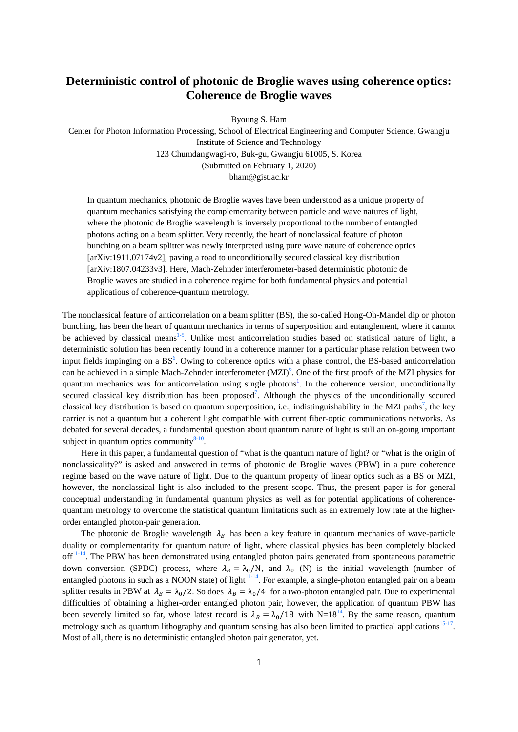## **Deterministic control of photonic de Broglie waves using coherence optics: Coherence de Broglie waves**

Byoung S. Ham

Center for Photon Information Processing, School of Electrical Engineering and Computer Science, Gwangju Institute of Science and Technology 123 Chumdangwagi-ro, Buk-gu, Gwangju 61005, S. Korea (Submitted on February 1, 2020) bham@gist.ac.kr

In quantum mechanics, photonic de Broglie waves have been understood as a unique property of quantum mechanics satisfying the complementarity between particle and wave natures of light, where the photonic de Broglie wavelength is inversely proportional to the number of entangled photons acting on a beam splitter. Very recently, the heart of nonclassical feature of photon bunching on a beam splitter was newly interpreted using pure wave nature of coherence optics [arXiv:1911.07174v2], paving a road to unconditionally secured classical key distribution [arXiv:1807.04233v3]. Here, Mach-Zehnder interferometer-based deterministic photonic de Broglie waves are studied in a coherence regime for both fundamental physics and potential applications of coherence-quantum metrology.

The nonclassical feature of anticorrelation on a beam splitter (BS), the so-called Hong-Oh-Mandel dip or photon bunching, has been the heart of quantum mechanics in terms of superposition and entanglement, where it cannot be achieved by classical means<sup>1-5</sup>. Unlike most anticorrelation studies based on statistical nature of light, a deterministic solution has been recently found in a coherence manner for a particular phase relation between two input fields impinging on a BS<sup>6</sup>. Owing to coherence optics with a phase control, the BS-based anticorrelation can be achieved in a simple Mach-Zehnder interferometer  $(MZI)^6$ . One of the first proofs of the MZI physics for quantum mechanics was for anticorrelation using single photons<sup>1</sup>. In the coherence version, unconditionally secured classical key distribution has been proposed<sup>7</sup>. Although the physics of the unconditionally secured classical key distribution is based on quantum superposition, i.e., indistinguishability in the MZI paths<sup>7</sup>, the key carrier is not a quantum but a coherent light compatible with current fiber-optic communications networks. As debated for several decades, a fundamental question about quantum nature of light is still an on-going important subject in quantum optics community $8-10$ .

Here in this paper, a fundamental question of "what is the quantum nature of light? or "what is the origin of nonclassicality?" is asked and answered in terms of photonic de Broglie waves (PBW) in a pure coherence regime based on the wave nature of light. Due to the quantum property of linear optics such as a BS or MZI, however, the nonclassical light is also included to the present scope. Thus, the present paper is for general conceptual understanding in fundamental quantum physics as well as for potential applications of coherencequantum metrology to overcome the statistical quantum limitations such as an extremely low rate at the higherorder entangled photon-pair generation.

The photonic de Broglie wavelength  $\lambda_B$  has been a key feature in quantum mechanics of wave-particle duality or complementarity for quantum nature of light, where classical physics has been completely blocked off<sup>11-14</sup>. The PBW has been demonstrated using entangled photon pairs generated from spontaneous parametric down conversion (SPDC) process, where  $\lambda_B = \lambda_0/N$ , and  $\lambda_0$  (N) is the initial wavelength (number of entangled photons in such as a NOON state) of light $11-14$ . For example, a single-photon entangled pair on a beam splitter results in PBW at  $\lambda_B = \lambda_0/2$ . So does  $\lambda_B = \lambda_0/4$  for a two-photon entangled pair. Due to experimental difficulties of obtaining a higher-order entangled photon pair, however, the application of quantum PBW has been severely limited so far, whose latest record is  $\lambda_B = \lambda_0/18$  with N=18<sup>14</sup>. By the same reason, quantum metrology such as quantum lithography and quantum sensing has also been limited to practical applications<sup>15-17</sup>. Most of all, there is no deterministic entangled photon pair generator, yet.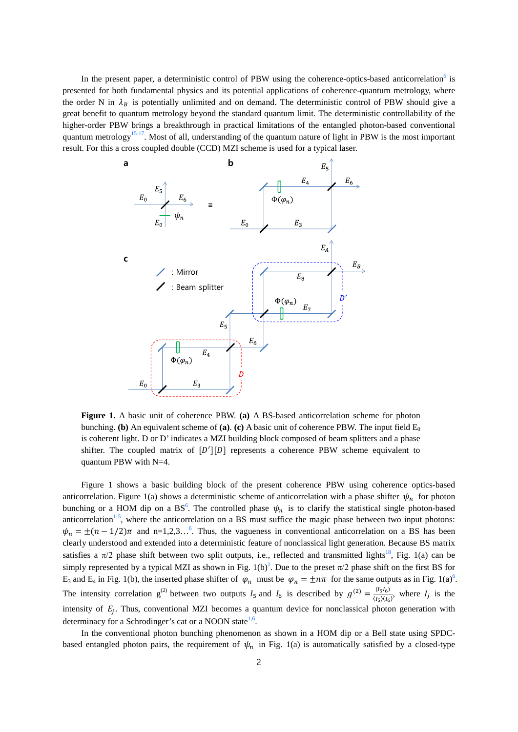In the present paper, a deterministic control of PBW using the coherence-optics-based anticorrelation<sup>6</sup> is presented for both fundamental physics and its potential applications of coherence-quantum metrology, where the order N in  $\lambda_B$  is potentially unlimited and on demand. The deterministic control of PBW should give a great benefit to quantum metrology beyond the standard quantum limit. The deterministic controllability of the higher-order PBW brings a breakthrough in practical limitations of the entangled photon-based conventional quantum metrology<sup>15-17</sup>. Most of all, understanding of the quantum nature of light in PBW is the most important result. For this a cross coupled double (CCD) MZI scheme is used for a typical laser.



**Figure 1.** A basic unit of coherence PBW. **(a)** A BS-based anticorrelation scheme for photon bunching. **(b)** An equivalent scheme of **(a)**. **(c)** A basic unit of coherence PBW. The input field  $E_0$ is coherent light. D or D' indicates a MZI building block composed of beam splitters and a phase shifter. The coupled matrix of  $[D']$ [D] represents a coherence PBW scheme equivalent to quantum PBW with N=4.

Figure 1 shows a basic building block of the present coherence PBW using coherence optics-based anticorrelation. Figure 1(a) shows a deterministic scheme of anticorrelation with a phase shifter  $\psi_n$  for photon bunching or a HOM dip on a BS<sup>6</sup>. The controlled phase  $\psi_n$  is to clarify the statistical single photon-based anticorrelation<sup>1-5</sup>, where the anticorrelation on a BS must suffice the magic phase between two input photons:  $\psi_n = \pm (n - 1/2)\pi$  and n=1,2,3…<sup>6</sup>. Thus, the vagueness in conventional anticorrelation on a BS has been clearly understood and extended into a deterministic feature of nonclassical light generation. Because BS matrix satisfies a  $\pi/2$  phase shift between two split outputs, i.e., reflected and transmitted lights<sup>18</sup>, Fig. 1(a) can be simply represented by a typical MZI as shown in Fig.  $1(b)^1$ . Due to the preset  $\pi/2$  phase shift on the first BS for  $E_3$  and  $E_4$  in Fig. 1(b), the inserted phase shifter of  $\varphi_n$  must be  $\varphi_n = \pm n\pi$  for the same outputs as in Fig. 1(a)<sup>6</sup>. The intensity correlation  $g^{(2)}$  between two outputs  $I_5$  and  $I_6$  is described by  $g^{(2)} = \frac{\langle I_5 I_6 \rangle}{\langle I_5 \rangle \langle I_6 \rangle}$ , where  $I_j$  is the intensity of  $E_i$ . Thus, conventional MZI becomes a quantum device for nonclassical photon generation with determinacy for a Schrodinger's cat or a NOON state<sup>1,6</sup>.

In the conventional photon bunching phenomenon as shown in a HOM dip or a Bell state using SPDCbased entangled photon pairs, the requirement of  $\psi_n$  in Fig. 1(a) is automatically satisfied by a closed-type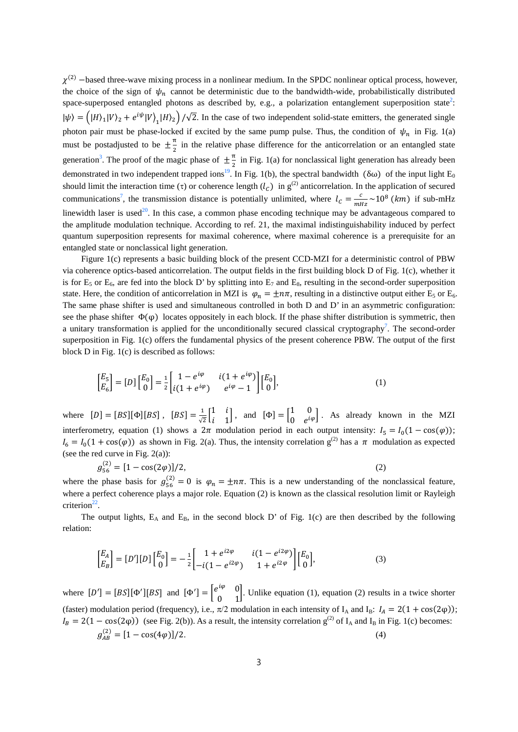$\chi^{(2)}$  –based three-wave mixing process in a nonlinear medium. In the SPDC nonlinear optical process, however, the choice of the sign of  $\psi_n$  cannot be deterministic due to the bandwidth-wide, probabilistically distributed space-superposed entangled photons as described by, e.g., a polarization entanglement superposition state<sup>2</sup>:  $|\psi\rangle = (|H\rangle_1|V\rangle_2 + e^{i\psi}|V\rangle_1|H\rangle_2)/\sqrt{2}$ . In the case of two independent solid-state emitters, the generated single 1 photon pair must be phase-locked if excited by the same pump pulse. Thus, the condition of  $\psi_n$  in Fig. 1(a) must be postadjusted to be  $\pm \frac{\pi}{2}$  in the relative phase difference for the anticorrelation or an entangled state generation<sup>3</sup>. The proof of the magic phase of  $\pm \frac{\pi}{2}$  in Fig. 1(a) for nonclassical light generation has already been demonstrated in two independent trapped ions<sup>19</sup>. In Fig. 1(b), the spectral bandwidth ( $\delta\omega$ ) of the input light E<sub>0</sub> should limit the interaction time (τ) or coherence length  $(l_C)$  in  $g^{(2)}$  anticorrelation. In the application of secured communications<sup>7</sup>, the transmission distance is potentially unlimited, where  $l_c = \frac{c}{mHz} \sim 10^8$  (km) if sub-mHz linewidth laser is used<sup>20</sup>. In this case, a common phase encoding technique may be advantageous compared to the amplitude modulation technique. According to ref. 21, the maximal indistinguishability induced by perfect quantum superposition represents for maximal coherence, where maximal coherence is a prerequisite for an entangled state or nonclassical light generation.

Figure 1(c) represents a basic building block of the present CCD-MZI for a deterministic control of PBW via coherence optics-based anticorrelation. The output fields in the first building block D of Fig. 1(c), whether it is for  $E_5$  or  $E_6$ , are fed into the block D' by splitting into  $E_7$  and  $E_8$ , resulting in the second-order superposition state. Here, the condition of anticorrelation in MZI is  $\varphi_n = \pm n\pi$ , resulting in a distinctive output either E<sub>5</sub> or E<sub>6</sub>. The same phase shifter is used and simultaneous controlled in both D and D' in an asymmetric configuration: see the phase shifter  $\Phi(\varphi)$  locates oppositely in each block. If the phase shifter distribution is symmetric, then a unitary transformation is applied for the unconditionally secured classical cryptography<sup>7</sup>. The second-order superposition in Fig. 1(c) offers the fundamental physics of the present coherence PBW. The output of the first block D in Fig. 1(c) is described as follows:

$$
\begin{bmatrix} E_5 \\ E_6 \end{bmatrix} = [D] \begin{bmatrix} E_0 \\ 0 \end{bmatrix} = \frac{1}{2} \begin{bmatrix} 1 - e^{i\varphi} & i(1 + e^{i\varphi}) \\ i(1 + e^{i\varphi}) & e^{i\varphi} - 1 \end{bmatrix} \begin{bmatrix} E_0 \\ 0 \end{bmatrix},
$$
\n(1)

where  $[D] = [BS][\Phi][BS]$ ,  $[BS] = \frac{1}{\sqrt{2}} \begin{bmatrix} 1 & i \\ i & 1 \end{bmatrix}$  $\begin{bmatrix} 1 & 1 \\ i & 1 \end{bmatrix}$ , and  $[\Phi] = \begin{bmatrix} 1 & 0 \\ 0 & e^{i\varphi} \end{bmatrix}$ . As already known in the MZI interferometry, equation (1) shows a  $2\pi$  modulation period in each output intensity:  $I_5 = I_0(1 - \cos(\varphi))$ ;  $I_6 = I_0(1 + \cos(\varphi))$  as shown in Fig. 2(a). Thus, the intensity correlation  $g^{(2)}$  has a  $\pi$  modulation as expected (see the red curve in Fig. 2(a)):

$$
g_{56}^{(2)} = [1 - \cos(2\varphi)]/2,\tag{2}
$$

where the phase basis for  $g_{56}^{(2)} = 0$  is  $\varphi_n = \pm n\pi$ . This is a new understanding of the nonclassical feature, where a perfect coherence plays a major role. Equation (2) is known as the classical resolution limit or Rayleigh criterion $^{22}$ .

The output lights,  $E_A$  and  $E_B$ , in the second block D' of Fig. 1(c) are then described by the following relation:

$$
\begin{bmatrix} E_A \\ E_B \end{bmatrix} = [D'] [D] \begin{bmatrix} E_0 \\ 0 \end{bmatrix} = -\frac{1}{2} \begin{bmatrix} 1 + e^{i2\varphi} & i(1 - e^{i2\varphi}) \\ -i(1 - e^{i2\varphi}) & 1 + e^{i2\varphi} \end{bmatrix} \begin{bmatrix} E_0 \\ 0 \end{bmatrix},
$$
\n(3)

where  $[D'] = [BS][\Phi'][BS]$  and  $[\Phi'] = \begin{bmatrix} e^{i\varphi} & 0 \\ 0 & 1 \end{bmatrix}$  $\begin{bmatrix} 0 & 0 \\ 0 & 1 \end{bmatrix}$ . Unlike equation (1), equation (2) results in a twice shorter (faster) modulation period (frequency), i.e.,  $\pi/2$  modulation in each intensity of I<sub>A</sub> and I<sub>B</sub>:  $I_A = 2(1 + \cos(2\varphi))$ ;  $I_B = 2(1 - \cos(2\varphi))$  (see Fig. 2(b)). As a result, the intensity correlation  $g^{(2)}$  of  $I_A$  and  $I_B$  in Fig. 1(c) becomes:  $g_{AB}^{(2)} = [1 - \cos(4\varphi)]/2.$  (4)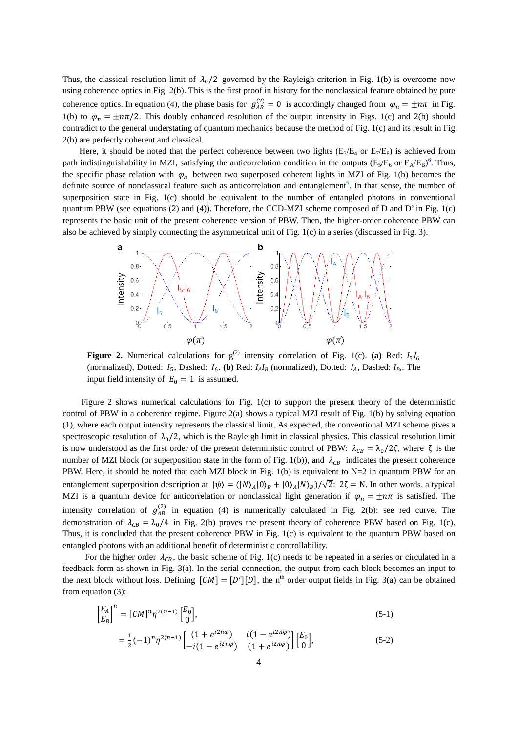Thus, the classical resolution limit of  $\lambda_0/2$  governed by the Rayleigh criterion in Fig. 1(b) is overcome now using coherence optics in Fig. 2(b). This is the first proof in history for the nonclassical feature obtained by pure coherence optics. In equation (4), the phase basis for  $g_{AB}^{(2)} = 0$  is accordingly changed from  $\varphi_n = \pm n\pi$  in Fig. 1(b) to  $\varphi_n = \pm n\pi/2$ . This doubly enhanced resolution of the output intensity in Figs. 1(c) and 2(b) should contradict to the general understating of quantum mechanics because the method of Fig. 1(c) and its result in Fig. 2(b) are perfectly coherent and classical.

Here, it should be noted that the perfect coherence between two lights ( $E_2/E_4$  or  $E_7/E_8$ ) is achieved from path indistinguishability in MZI, satisfying the anticorrelation condition in the outputs  $(E_5/E_6$  or  $E_A/E_B)^6$ . Thus, the specific phase relation with  $\varphi_n$  between two superposed coherent lights in MZI of Fig. 1(b) becomes the definite source of nonclassical feature such as anticorrelation and entanglement<sup>6</sup>. In that sense, the number of superposition state in Fig. 1(c) should be equivalent to the number of entangled photons in conventional quantum PBW (see equations (2) and (4)). Therefore, the CCD-MZI scheme composed of D and D' in Fig. 1(c) represents the basic unit of the present coherence version of PBW. Then, the higher-order coherence PBW can also be achieved by simply connecting the asymmetrical unit of Fig. 1(c) in a series (discussed in Fig. 3).



**Figure 2.** Numerical calculations for  $g^{(2)}$  intensity correlation of Fig. 1(c). **(a)** Red:  $I_5I_6$ (normalized), Dotted:  $I_5$ , Dashed:  $I_6$ . (b) Red:  $I_A I_B$  (normalized), Dotted:  $I_A$ , Dashed:  $I_B$ . The input field intensity of  $E_0 = 1$  is assumed.

Figure 2 shows numerical calculations for Fig. 1(c) to support the present theory of the deterministic control of PBW in a coherence regime. Figure 2(a) shows a typical MZI result of Fig. 1(b) by solving equation (1), where each output intensity represents the classical limit. As expected, the conventional MZI scheme gives a spectroscopic resolution of  $\lambda_0/2$ , which is the Rayleigh limit in classical physics. This classical resolution limit is now understood as the first order of the present deterministic control of PBW:  $\lambda_{CB} = \lambda_0/2\zeta$ , where  $\zeta$  is the number of MZI block (or superposition state in the form of Fig. 1(b)), and  $\lambda_{CB}$  indicates the present coherence PBW. Here, it should be noted that each MZI block in Fig. 1(b) is equivalent to N=2 in quantum PBW for an entanglement superposition description at  $|\psi\rangle = (|N\rangle_A|0\rangle_B + |0\rangle_A|N\rangle_B)/\sqrt{2}$ :  $2\zeta = N$ . In other words, a typical MZI is a quantum device for anticorrelation or nonclassical light generation if  $\varphi_n = \pm n\pi$  is satisfied. The intensity correlation of  $g_{AB}^{(2)}$  in equation (4) is numerically calculated in Fig. 2(b): see red curve. The demonstration of  $\lambda_{CB} = \lambda_0/4$  in Fig. 2(b) proves the present theory of coherence PBW based on Fig. 1(c). Thus, it is concluded that the present coherence PBW in Fig. 1(c) is equivalent to the quantum PBW based on entangled photons with an additional benefit of deterministic controllability.

For the higher order  $\lambda_{CR}$ , the basic scheme of Fig. 1(c) needs to be repeated in a series or circulated in a feedback form as shown in Fig. 3(a). In the serial connection, the output from each block becomes an input to the next block without loss. Defining  $[CM] = [D'] [D]$ , the n<sup>th</sup> order output fields in Fig. 3(a) can be obtained from equation (3):

$$
\begin{bmatrix} E_A \\ E_B \end{bmatrix}^n = [CM]^n \eta^{2(n-1)} \begin{bmatrix} E_0 \\ 0 \end{bmatrix},
$$
\n(5-1)

$$
= \frac{1}{2}(-1)^n \eta^{2(n-1)} \begin{bmatrix} (1 + e^{i2n\varphi}) & i(1 - e^{i2n\varphi}) \\ -i(1 - e^{i2n\varphi}) & (1 + e^{i2n\varphi}) \end{bmatrix} \begin{bmatrix} E_0 \\ 0 \end{bmatrix},
$$
(5-2)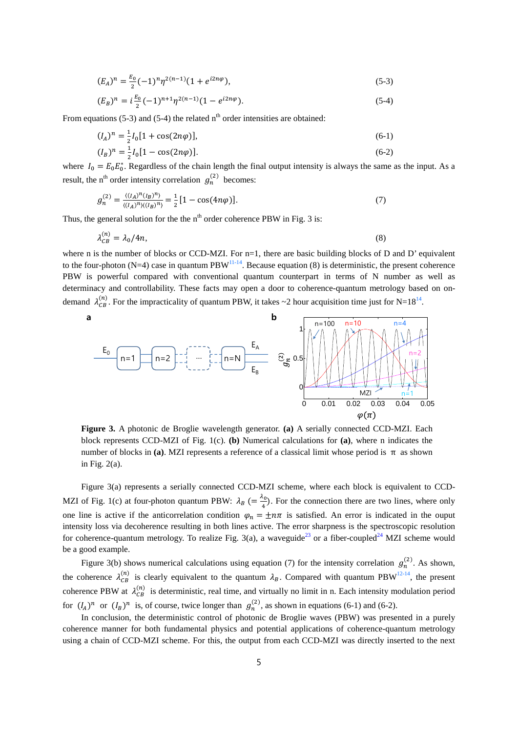$$
(E_A)^n = \frac{E_0}{2}(-1)^n \eta^{2(n-1)} (1 + e^{i2n\varphi}), \tag{5-3}
$$

$$
(E_B)^n = i\frac{E_0}{2}(-1)^{n+1}\eta^{2(n-1)}(1 - e^{i2n\varphi}).
$$
\n(5-4)

From equations (5-3) and (5-4) the related  $n<sup>th</sup>$  order intensities are obtained:

$$
(I_A)^n = \frac{1}{2}I_0[1 + \cos(2n\varphi)],\tag{6-1}
$$

$$
(I_B)^n = \frac{1}{2}I_0[1 - \cos(2n\varphi)].
$$
\n(6-2)

where  $I_0 = E_0 E_0^*$ . Regardless of the chain length the final output intensity is always the same as the input. As a result, the n<sup>th</sup> order intensity correlation  $g_n^{(2)}$  becomes:

$$
g_n^{(2)} = \frac{\langle (I_A)^n (I_B)^n \rangle}{\langle (I_A)^n \rangle \langle (I_B)^n \rangle} = \frac{1}{2} [1 - \cos(4n\varphi)]. \tag{7}
$$

Thus, the general solution for the the  $n<sup>th</sup>$  order coherence PBW in Fig. 3 is:

$$
\lambda_{CB}^{(n)} = \lambda_0 / 4n,\tag{8}
$$

where n is the number of blocks or CCD-MZI. For n=1, there are basic building blocks of D and D' equivalent to the four-photon (N=4) case in quantum PBW $^{11-14}$ . Because equation (8) is deterministic, the present coherence PBW is powerful compared with conventional quantum counterpart in terms of N number as well as determinacy and controllability. These facts may open a door to coherence-quantum metrology based on ondemand  $\lambda_{CB}^{(n)}$ . For the impracticality of quantum PBW, it takes ~2 hour acquisition time just for N=18<sup>14</sup>.



**Figure 3.** A photonic de Broglie wavelength generator. **(a)** A serially connected CCD-MZI. Each block represents CCD-MZI of Fig. 1(c). **(b)** Numerical calculations for **(a)**, where n indicates the number of blocks in (a). MZI represents a reference of a classical limit whose period is  $π$  as shown in Fig. 2(a).

Figure 3(a) represents a serially connected CCD-MZI scheme, where each block is equivalent to CCD-MZI of Fig. 1(c) at four-photon quantum PBW:  $\lambda_B$  (=  $\frac{\lambda_0}{4}$ ). For the connection there are two lines, where only one line is active if the anticorrelation condition  $\varphi_n = \pm n\pi$  is satisfied. An error is indicated in the ouput intensity loss via decoherence resulting in both lines active. The error sharpness is the spectroscopic resolution for coherence-quantum metrology. To realize Fig. 3(a), a waveguide<sup>23</sup> or a fiber-coupled<sup>24</sup> MZI scheme would be a good example.

Figure 3(b) shows numerical calculations using equation (7) for the intensity correlation  $g_n^{(2)}$ . As shown, the coherence  $\lambda_{CB}^{(n)}$  is clearly equivalent to the quantum  $\lambda_B$ . Compared with quantum PBW<sup>12-14</sup>, the present coherence PBW at  $\lambda_{CB}^{(n)}$  is deterministic, real time, and virtually no limit in n. Each intensity modulation period for  $(I_A)^n$  or  $(I_B)^n$  is, of course, twice longer than  $g_n^{(2)}$ , as shown in equations (6-1) and (6-2).

In conclusion, the deterministic control of photonic de Broglie waves (PBW) was presented in a purely coherence manner for both fundamental physics and potential applications of coherence-quantum metrology using a chain of CCD-MZI scheme. For this, the output from each CCD-MZI was directly inserted to the next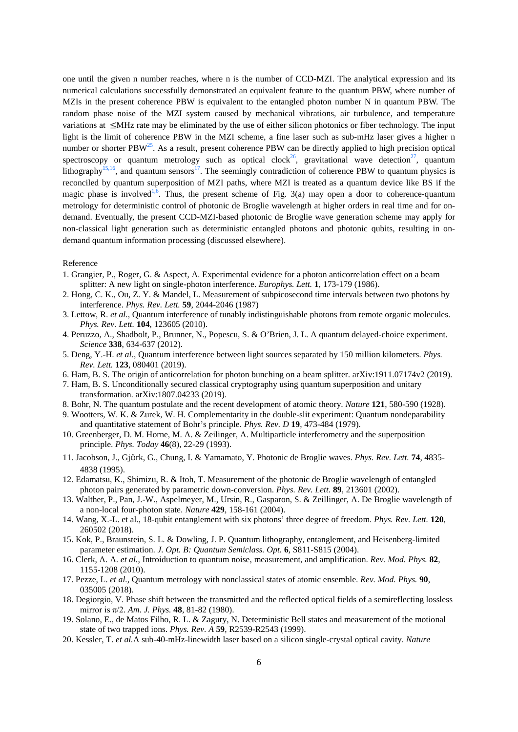one until the given n number reaches, where n is the number of CCD-MZI. The analytical expression and its numerical calculations successfully demonstrated an equivalent feature to the quantum PBW, where number of MZIs in the present coherence PBW is equivalent to the entangled photon number N in quantum PBW. The random phase noise of the MZI system caused by mechanical vibrations, air turbulence, and temperature variations at ≤MHz rate may be eliminated by the use of either silicon photonics or fiber technology. The input light is the limit of coherence PBW in the MZI scheme, a fine laser such as sub-mHz laser gives a higher n number or shorter PBW<sup>25</sup>. As a result, present coherence PBW can be directly applied to high precision optical spectroscopy or quantum metrology such as optical clock<sup>26</sup>, gravitational wave detection<sup>27</sup>, quantum lithography<sup>15,16</sup>, and quantum sensors<sup>17</sup>. The seemingly contradiction of coherence PBW to quantum physics is reconciled by quantum superposition of MZI paths, where MZI is treated as a quantum device like BS if the magic phase is involved<sup>1,6</sup>. Thus, the present scheme of Fig. 3(a) may open a door to coherence-quantum metrology for deterministic control of photonic de Broglie wavelength at higher orders in real time and for ondemand. Eventually, the present CCD-MZI-based photonic de Broglie wave generation scheme may apply for non-classical light generation such as deterministic entangled photons and photonic qubits, resulting in ondemand quantum information processing (discussed elsewhere).

## Reference

- 1. Grangier, P., Roger, G. & Aspect, A. Experimental evidence for a photon anticorrelation effect on a beam splitter: A new light on single-photon interference. *Europhys. Lett.* **1**, 173-179 (1986).
- 2. Hong, C. K., Ou, Z. Y. & Mandel, L. Measurement of subpicosecond time intervals between two photons by interference. *Phys. Rev. Lett.* **59**, 2044-2046 (1987)
- 3. Lettow, R. *et al.*, Quantum interference of tunably indistinguishable photons from remote organic molecules. *Phys. Rev. Lett.* **104**, 123605 (2010).
- 4. Peruzzo, A., Shadbolt, P., Brunner, N., Popescu, S. & O'Brien, J. L. A quantum delayed-choice experiment. *Science* **338**, 634-637 (2012).
- 5. Deng, Y.-H. *et al*., Quantum interference between light sources separated by 150 million kilometers. *Phys. Rev. Lett.* **123**, 080401 (2019).
- 6. Ham, B. S. The origin of anticorrelation for photon bunching on a beam splitter. arXiv:1911.07174v2 (2019).
- 7. Ham, B. S. Unconditionally secured classical cryptography using quantum superposition and unitary transformation. arXiv:1807.04233 (2019).
- 8. Bohr, N. The quantum postulate and the recent development of atomic theory. *Nature* **121**, 580-590 (1928).
- 9. Wootters, W. K. & Zurek, W. H. Complementarity in the double-slit experiment: Quantum nondeparability and quantitative statement of Bohr's principle. *Phys. Rev. D* **19**, 473-484 (1979).
- 10. Greenberger, D. M. Horne, M. A. & Zeilinger, A. Multiparticle interferometry and the superposition principle. *Phys. Today* **46**(8), 22-29 (1993).
- 11. Jacobson, J., Gjörk, G., Chung, I. & Yamamato, Y. Photonic de Broglie waves. *Phys. Rev. Lett.* **74**, 4835- 4838 (1995).
- 12. Edamatsu, K., Shimizu, R. & Itoh, T. Measurement of the photonic de Broglie wavelength of entangled photon pairs generated by parametric down-conversion. *Phys. Rev. Lett.* **89**, 213601 (2002).
- 13. Walther, P., Pan, J.-W., Aspelmeyer, M., Ursin, R., Gasparon, S. & Zeillinger, A. De Broglie wavelength of a non-local four-photon state. *Nature* **429**, 158-161 (2004).
- 14. Wang, X.-L. et al., 18-qubit entanglement with six photons' three degree of freedom. *Phys. Rev. Lett.* **120**, 260502 (2018).
- 15. Kok, P., Braunstein, S. L. & Dowling, J. P. Quantum lithography, entanglement, and Heisenberg-limited parameter estimation. *J. Opt. B: Quantum Semiclass. Opt.* **6**, S811-S815 (2004).
- 16. Clerk, A. A. *et al.*, Introiduction to quantum noise, measurement, and amplification. *Rev. Mod. Phys.* **82**, 1155-1208 (2010).
- 17. Pezze, L. *et al.*, Quantum metrology with nonclassical states of atomic ensemble. *Rev. Mod. Phys.* **90**, 035005 (2018).
- 18. Degiorgio, V. Phase shift between the transmitted and the reflected optical fields of a semireflecting lossless mirror is π/2. *Am. J. Phys.* **48**, 81-82 (1980).
- 19. Solano, E., de Matos Filho, R. L. & Zagury, N. Deterministic Bell states and measurement of the motional state of two trapped ions. *Phys. Rev. A* **59**, R2539-R2543 (1999).
- 20. Kessler, T. *et al.*A sub-40-mHz-linewidth laser based on a silicon single-crystal optical cavity. *Nature*